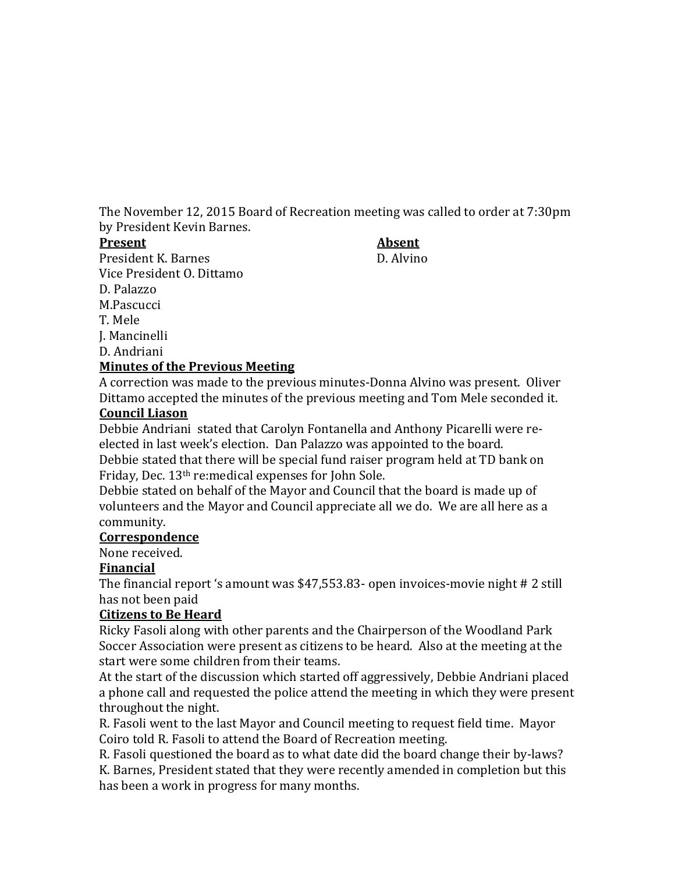The November 12, 2015 Board of Recreation meeting was called to order at 7:30pm by President Kevin Barnes.

#### **Present Absent**

President K. Barnes D. Alvino Vice President O. Dittamo D. Palazzo M.Pascucci T. Mele

#### D. Andriani **Minutes of the Previous Meeting**

A correction was made to the previous minutes-Donna Alvino was present. Oliver Dittamo accepted the minutes of the previous meeting and Tom Mele seconded it.

# **Council Liason**

J. Mancinelli

Debbie Andriani stated that Carolyn Fontanella and Anthony Picarelli were reelected in last week's election. Dan Palazzo was appointed to the board.

Debbie stated that there will be special fund raiser program held at TD bank on Friday, Dec. 13th re:medical expenses for John Sole.

Debbie stated on behalf of the Mayor and Council that the board is made up of volunteers and the Mayor and Council appreciate all we do. We are all here as a community.

## **Correspondence**

None received.

## **Financial**

The financial report 's amount was \$47,553.83- open invoices-movie night # 2 still has not been paid

## **Citizens to Be Heard**

Ricky Fasoli along with other parents and the Chairperson of the Woodland Park Soccer Association were present as citizens to be heard. Also at the meeting at the start were some children from their teams.

At the start of the discussion which started off aggressively, Debbie Andriani placed a phone call and requested the police attend the meeting in which they were present throughout the night.

R. Fasoli went to the last Mayor and Council meeting to request field time. Mayor Coiro told R. Fasoli to attend the Board of Recreation meeting.

R. Fasoli questioned the board as to what date did the board change their by-laws? K. Barnes, President stated that they were recently amended in completion but this has been a work in progress for many months.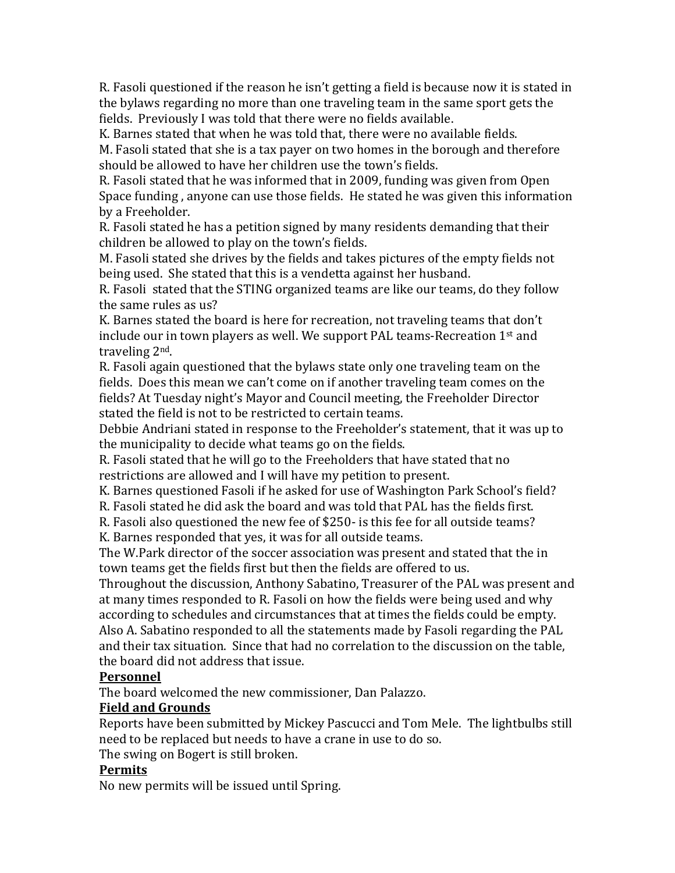R. Fasoli questioned if the reason he isn't getting a field is because now it is stated in the bylaws regarding no more than one traveling team in the same sport gets the fields. Previously I was told that there were no fields available.

K. Barnes stated that when he was told that, there were no available fields.

M. Fasoli stated that she is a tax payer on two homes in the borough and therefore should be allowed to have her children use the town's fields.

R. Fasoli stated that he was informed that in 2009, funding was given from Open Space funding , anyone can use those fields. He stated he was given this information by a Freeholder.

R. Fasoli stated he has a petition signed by many residents demanding that their children be allowed to play on the town's fields.

M. Fasoli stated she drives by the fields and takes pictures of the empty fields not being used. She stated that this is a vendetta against her husband.

R. Fasoli stated that the STING organized teams are like our teams, do they follow the same rules as us?

K. Barnes stated the board is here for recreation, not traveling teams that don't include our in town players as well. We support PAL teams-Recreation 1st and traveling 2nd.

R. Fasoli again questioned that the bylaws state only one traveling team on the fields. Does this mean we can't come on if another traveling team comes on the fields? At Tuesday night's Mayor and Council meeting, the Freeholder Director stated the field is not to be restricted to certain teams.

Debbie Andriani stated in response to the Freeholder's statement, that it was up to the municipality to decide what teams go on the fields.

R. Fasoli stated that he will go to the Freeholders that have stated that no restrictions are allowed and I will have my petition to present.

K. Barnes questioned Fasoli if he asked for use of Washington Park School's field?

R. Fasoli stated he did ask the board and was told that PAL has the fields first.

R. Fasoli also questioned the new fee of \$250- is this fee for all outside teams?

K. Barnes responded that yes, it was for all outside teams.

The W.Park director of the soccer association was present and stated that the in town teams get the fields first but then the fields are offered to us.

Throughout the discussion, Anthony Sabatino, Treasurer of the PAL was present and at many times responded to R. Fasoli on how the fields were being used and why according to schedules and circumstances that at times the fields could be empty. Also A. Sabatino responded to all the statements made by Fasoli regarding the PAL and their tax situation. Since that had no correlation to the discussion on the table, the board did not address that issue.

## **Personnel**

The board welcomed the new commissioner, Dan Palazzo.

## **Field and Grounds**

Reports have been submitted by Mickey Pascucci and Tom Mele. The lightbulbs still need to be replaced but needs to have a crane in use to do so.

The swing on Bogert is still broken.

## **Permits**

No new permits will be issued until Spring.